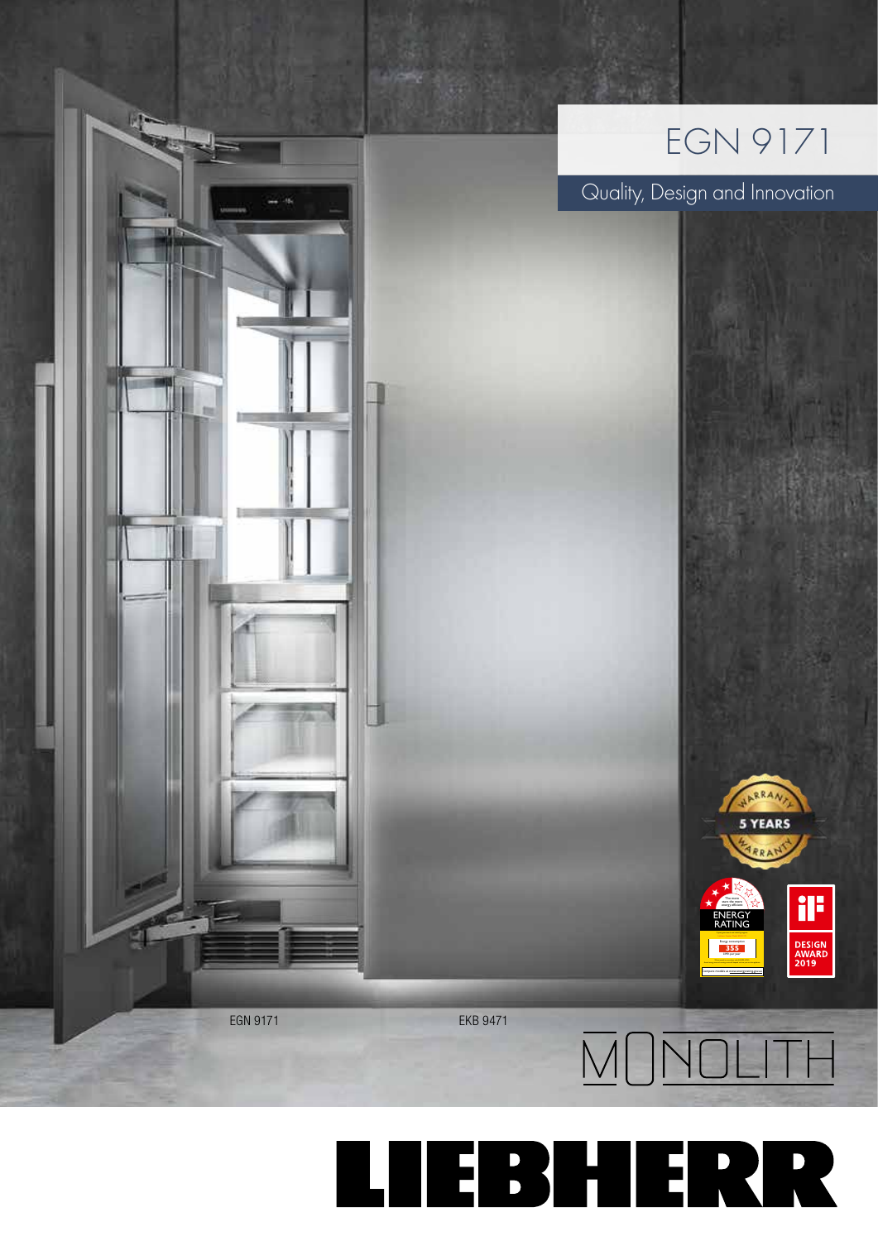

Quality, Design and Innovation

The more stars the more energy efficient ENERGY RATING Energy consumption kWh per year **355** Compare models at www.energyrating.gov.au

ARRA 5 YEARS ARRAN

il:

DESIGN<br>AWARD<br>2019





 $\overline{M}$  $\overline{O}$  $\overline{N}$  $\overline{O}$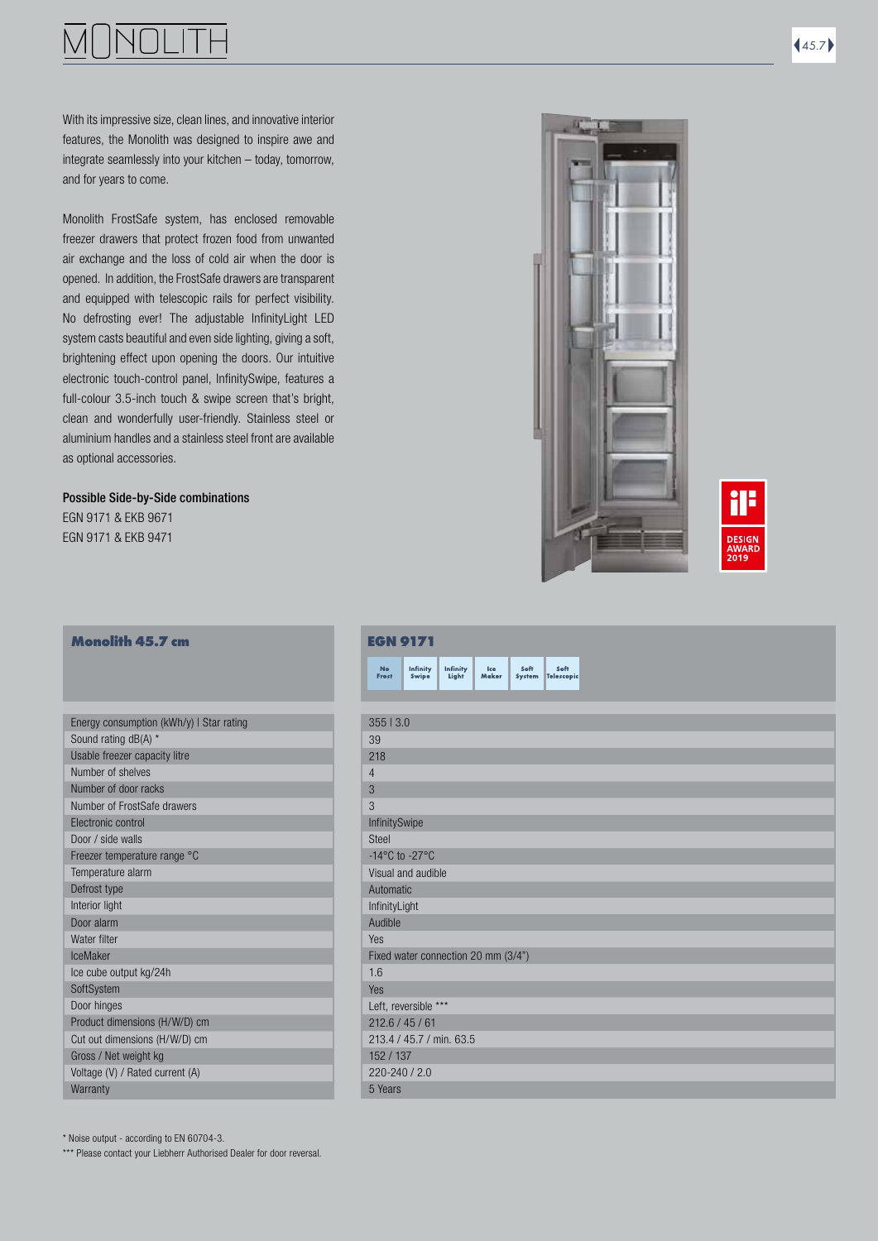With its impressive size, clean lines, and innovative interior features, the Monolith was designed to inspire awe and integrate seamlessly into your kitchen – today, tomorrow, and for years to come.

Monolith FrostSafe system, has enclosed removable freezer drawers that protect frozen food from unwanted air exchange and the loss of cold air when the door is opened. In addition, the FrostSafe drawers are transparent and equipped with telescopic rails for perfect visibility. No defrosting ever! The adjustable InfinityLight LED system casts beautiful and even side lighting, giving a soft, brightening effect upon opening the doors. Our intuitive electronic touch-control panel, InfinitySwipe, features a full-colour 3.5-inch touch & swipe screen that's bright, clean and wonderfully user-friendly. Stainless steel or aluminium handles and a stainless steel front are available as optional accessories.

Possible Side-by-Side combinations EGN 9171 & EKB 9671

EGN 9171 & EKB 9471

### **Monolith 45.7 cm**

| Energy consumption (kWh/y) I Star rating |
|------------------------------------------|
| Sound rating dB(A) *                     |
| Usable freezer capacity litre            |
| Number of shelves                        |
| Number of door racks                     |
| Number of FrostSafe drawers              |
| Electronic control                       |
| Door / side walls                        |
| Freezer temperature range °C             |
| Temperature alarm                        |
| Defrost type                             |
| Interior light                           |
| Door alarm                               |
| Water filter                             |
| IceMaker                                 |
| Ice cube output kg/24h                   |
| SoftSystem                               |
| Door hinges                              |
| Product dimensions (H/W/D) cm            |
| Cut out dimensions (H/W/D) cm            |
| Gross / Net weight kg                    |
| Voltage (V) / Rated current (A)          |
| Warranty                                 |
|                                          |



|                                      | <b>EGN 9171</b>          |                   |                                     |                |                           |
|--------------------------------------|--------------------------|-------------------|-------------------------------------|----------------|---------------------------|
| <b>No</b><br>Frost                   | Infinity<br>Swipe        | Infinity<br>Light | Ice<br>Maker                        | Soft<br>System | Soft<br><b>Telescopic</b> |
|                                      |                          |                   |                                     |                |                           |
| 35513.0                              |                          |                   |                                     |                |                           |
| 39                                   |                          |                   |                                     |                |                           |
| 218                                  |                          |                   |                                     |                |                           |
| $\overline{4}$                       |                          |                   |                                     |                |                           |
| 3                                    |                          |                   |                                     |                |                           |
| 3                                    |                          |                   |                                     |                |                           |
| InfinitySwipe                        |                          |                   |                                     |                |                           |
| <b>Steel</b>                         |                          |                   |                                     |                |                           |
| -14 $^{\circ}$ C to -27 $^{\circ}$ C |                          |                   |                                     |                |                           |
|                                      | Visual and audible       |                   |                                     |                |                           |
| Automatic                            |                          |                   |                                     |                |                           |
| InfinityLight                        |                          |                   |                                     |                |                           |
| Audible                              |                          |                   |                                     |                |                           |
| Yes                                  |                          |                   |                                     |                |                           |
|                                      |                          |                   | Fixed water connection 20 mm (3/4") |                |                           |
| 1.6                                  |                          |                   |                                     |                |                           |
| Yes                                  |                          |                   |                                     |                |                           |
|                                      | Left, reversible ***     |                   |                                     |                |                           |
| 212.6 / 45 / 61                      | 213.4 / 45.7 / min. 63.5 |                   |                                     |                |                           |
|                                      |                          |                   |                                     |                |                           |
| 152 / 137<br>$220 - 240 / 2.0$       |                          |                   |                                     |                |                           |
| 5 Years                              |                          |                   |                                     |                |                           |
|                                      |                          |                   |                                     |                |                           |

\* Noise output - according to EN 60704-3.

\*\*\* Please contact your Liebherr Authorised Dealer for door reversal.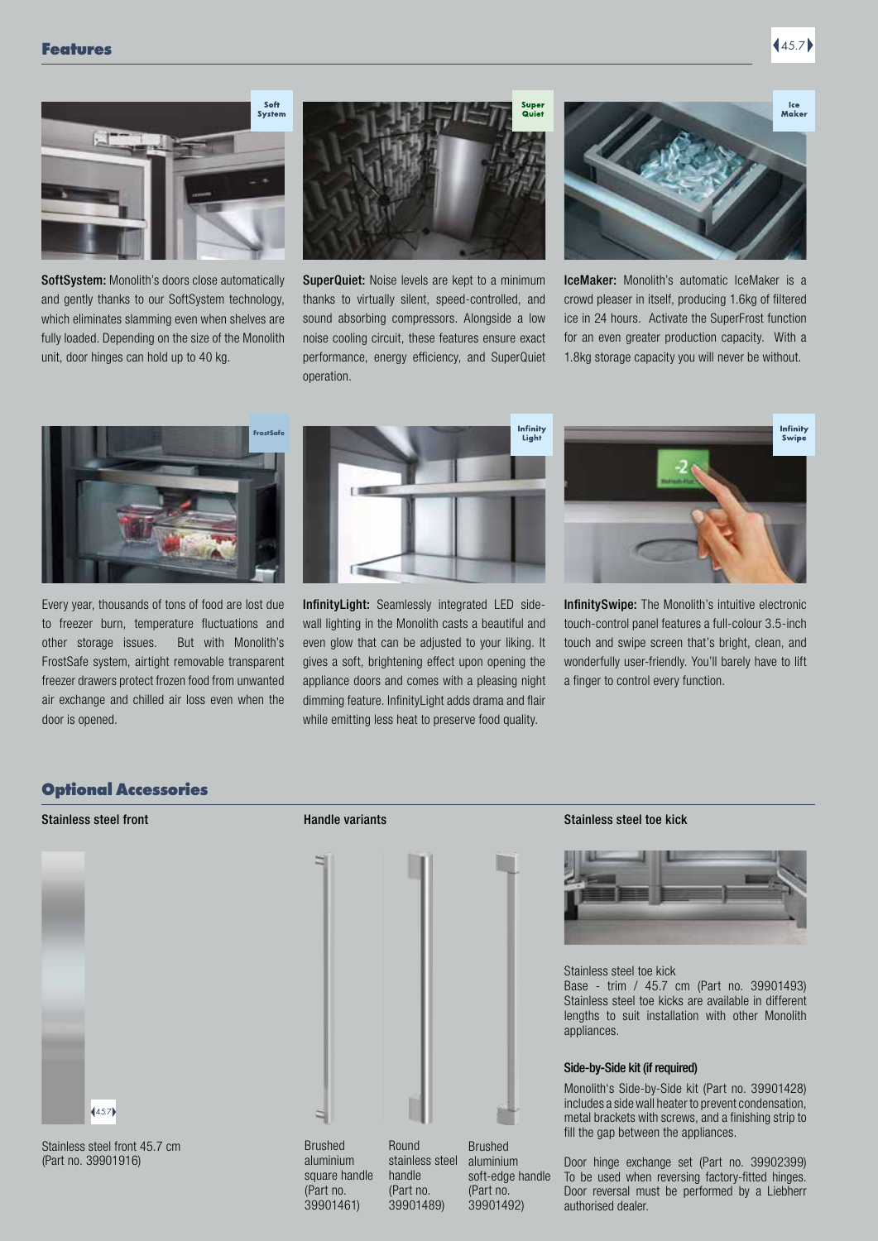# **Features** (45.7)





SoftSystem: Monolith's doors close automatically and gently thanks to our SoftSystem technology, which eliminates slamming even when shelves are fully loaded. Depending on the size of the Monolith unit, door hinges can hold up to 40 kg.



SuperQuiet: Noise levels are kept to a minimum thanks to virtually silent, speed-controlled, and sound absorbing compressors. Alongside a low noise cooling circuit, these features ensure exact performance, energy efficiency, and SuperQuiet operation.



IceMaker: Monolith's automatic IceMaker is a crowd pleaser in itself, producing 1.6kg of filtered ice in 24 hours. Activate the SuperFrost function for an even greater production capacity. With a 1.8kg storage capacity you will never be without.



Every year, thousands of tons of food are lost due to freezer burn, temperature fluctuations and other storage issues. But with Monolith's FrostSafe system, airtight removable transparent freezer drawers protect frozen food from unwanted air exchange and chilled air loss even when the door is opened.



InfinityLight: Seamlessly integrated LED sidewall lighting in the Monolith casts a beautiful and even glow that can be adjusted to your liking. It gives a soft, brightening effect upon opening the appliance doors and comes with a pleasing night dimming feature. InfinityLight adds drama and flair while emitting less heat to preserve food quality.



InfinitySwipe: The Monolith's intuitive electronic touch-control panel features a full-colour 3.5-inch touch and swipe screen that's bright, clean, and wonderfully user-friendly. You'll barely have to lift a finger to control every function.

### Optional Accessories



Stainless steel front 45.7 cm (Part no. 39901916)





### Stainless steel front **Stainless** steel toe kick



### Stainless steel toe kick

Base - trim / 45.7 cm (Part no. 39901493) Stainless steel toe kicks are available in different lengths to suit installation with other Monolith appliances.

### Side-by-Side kit (if required)

Monolith's Side-by-Side kit (Part no. 39901428) includes a side wall heater to prevent condensation, metal brackets with screws, and a finishing strip to fill the gap between the appliances.

Door hinge exchange set (Part no. 39902399) To be used when reversing factory-fitted hinges. Door reversal must be performed by a Liebherr authorised dealer.

aluminium square handle (Part no. 39901461) stainless steel handle (Part no. 39901489)

Brushed aluminium soft-edge handle (Part no. 39901492)